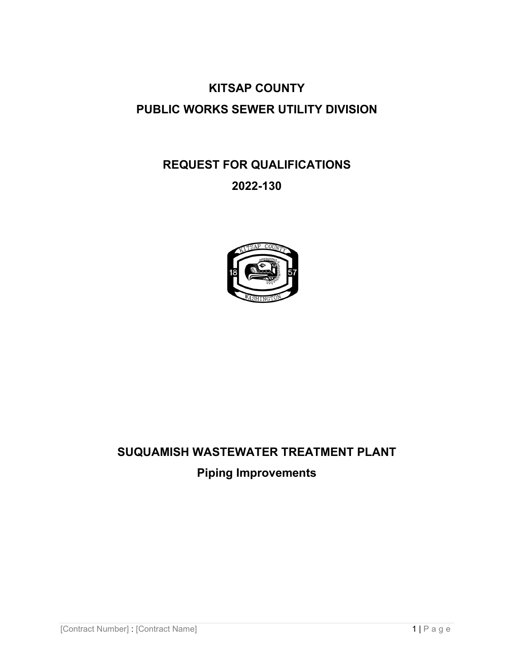# **KITSAP COUNTY PUBLIC WORKS SEWER UTILITY DIVISION**

# **REQUEST FOR QUALIFICATIONS**

# **2022-130**



# **SUQUAMISH WASTEWATER TREATMENT PLANT Piping Improvements**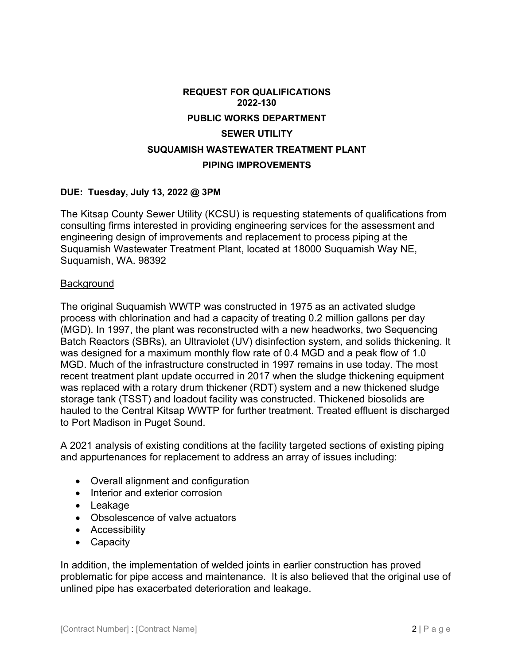# **REQUEST FOR QUALIFICATIONS 2022-130 PUBLIC WORKS DEPARTMENT SEWER UTILITY SUQUAMISH WASTEWATER TREATMENT PLANT PIPING IMPROVEMENTS**

#### **DUE: Tuesday, July 13, 2022 @ 3PM**

The Kitsap County Sewer Utility (KCSU) is requesting statements of qualifications from consulting firms interested in providing engineering services for the assessment and engineering design of improvements and replacement to process piping at the Suquamish Wastewater Treatment Plant, located at 18000 Suquamish Way NE, Suquamish, WA. 98392

#### **Background**

The original Suquamish WWTP was constructed in 1975 as an activated sludge process with chlorination and had a capacity of treating 0.2 million gallons per day (MGD). In 1997, the plant was reconstructed with a new headworks, two Sequencing Batch Reactors (SBRs), an Ultraviolet (UV) disinfection system, and solids thickening. It was designed for a maximum monthly flow rate of 0.4 MGD and a peak flow of 1.0 MGD. Much of the infrastructure constructed in 1997 remains in use today. The most recent treatment plant update occurred in 2017 when the sludge thickening equipment was replaced with a rotary drum thickener (RDT) system and a new thickened sludge storage tank (TSST) and loadout facility was constructed. Thickened biosolids are hauled to the Central Kitsap WWTP for further treatment. Treated effluent is discharged to Port Madison in Puget Sound.

A 2021 analysis of existing conditions at the facility targeted sections of existing piping and appurtenances for replacement to address an array of issues including:

- Overall alignment and configuration
- Interior and exterior corrosion
- Leakage
- Obsolescence of valve actuators
- Accessibility
- Capacity

In addition, the implementation of welded joints in earlier construction has proved problematic for pipe access and maintenance. It is also believed that the original use of unlined pipe has exacerbated deterioration and leakage.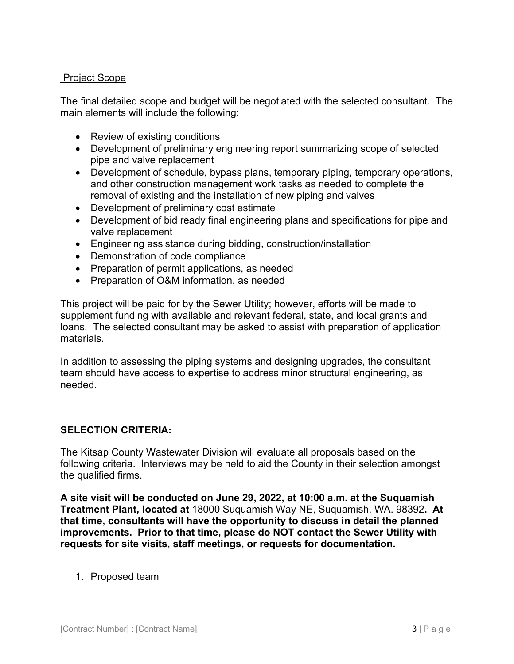### Project Scope

The final detailed scope and budget will be negotiated with the selected consultant. The main elements will include the following:

- Review of existing conditions
- Development of preliminary engineering report summarizing scope of selected pipe and valve replacement
- Development of schedule, bypass plans, temporary piping, temporary operations, and other construction management work tasks as needed to complete the removal of existing and the installation of new piping and valves
- Development of preliminary cost estimate
- Development of bid ready final engineering plans and specifications for pipe and valve replacement
- Engineering assistance during bidding, construction/installation
- Demonstration of code compliance
- Preparation of permit applications, as needed
- Preparation of O&M information, as needed

This project will be paid for by the Sewer Utility; however, efforts will be made to supplement funding with available and relevant federal, state, and local grants and loans. The selected consultant may be asked to assist with preparation of application materials.

In addition to assessing the piping systems and designing upgrades, the consultant team should have access to expertise to address minor structural engineering, as needed.

## **SELECTION CRITERIA:**

The Kitsap County Wastewater Division will evaluate all proposals based on the following criteria. Interviews may be held to aid the County in their selection amongst the qualified firms.

**A site visit will be conducted on June 29, 2022, at 10:00 a.m. at the Suquamish Treatment Plant, located at** 18000 Suquamish Way NE, Suquamish, WA. 98392**. At that time, consultants will have the opportunity to discuss in detail the planned improvements. Prior to that time, please do NOT contact the Sewer Utility with requests for site visits, staff meetings, or requests for documentation.**

1. Proposed team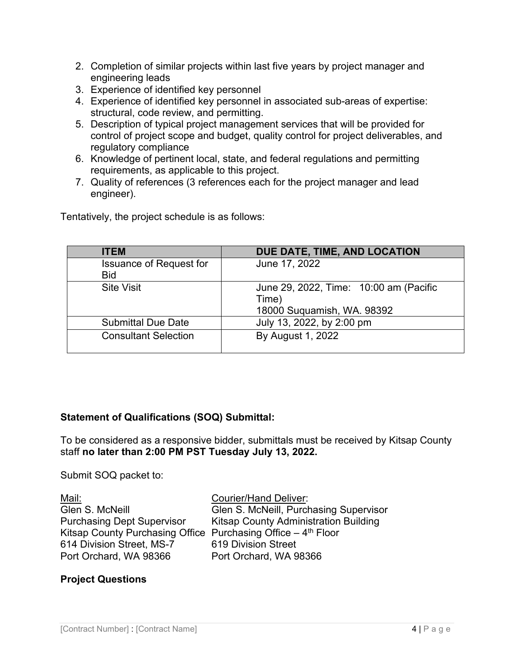- 2. Completion of similar projects within last five years by project manager and engineering leads
- 3. Experience of identified key personnel
- 4. Experience of identified key personnel in associated sub-areas of expertise: structural, code review, and permitting.
- 5. Description of typical project management services that will be provided for control of project scope and budget, quality control for project deliverables, and regulatory compliance
- 6. Knowledge of pertinent local, state, and federal regulations and permitting requirements, as applicable to this project.
- 7. Quality of references (3 references each for the project manager and lead engineer).

Tentatively, the project schedule is as follows:

| <b>ITEM</b>                                  | DUE DATE, TIME, AND LOCATION                                                  |
|----------------------------------------------|-------------------------------------------------------------------------------|
| <b>Issuance of Request for</b><br><b>Bid</b> | June 17, 2022                                                                 |
| <b>Site Visit</b>                            | June 29, 2022, Time: 10:00 am (Pacific<br>Time)<br>18000 Suquamish, WA. 98392 |
| <b>Submittal Due Date</b>                    | July 13, 2022, by 2:00 pm                                                     |
| <b>Consultant Selection</b>                  | By August 1, 2022                                                             |

## **Statement of Qualifications (SOQ) Submittal:**

To be considered as a responsive bidder, submittals must be received by Kitsap County staff **no later than 2:00 PM PST Tuesday July 13, 2022.**

Submit SOQ packet to:

Mail: Courier/Hand Deliver: Glen S. McNeill Glen S. McNeill, Purchasing Supervisor Purchasing Dept Supervisor Kitsap County Administration Building Kitsap County Purchasing Office Purchasing Office  $-4$ <sup>th</sup> Floor 614 Division Street, MS-7 619 Division Street Port Orchard, WA 98366 Port Orchard, WA 98366

#### **Project Questions**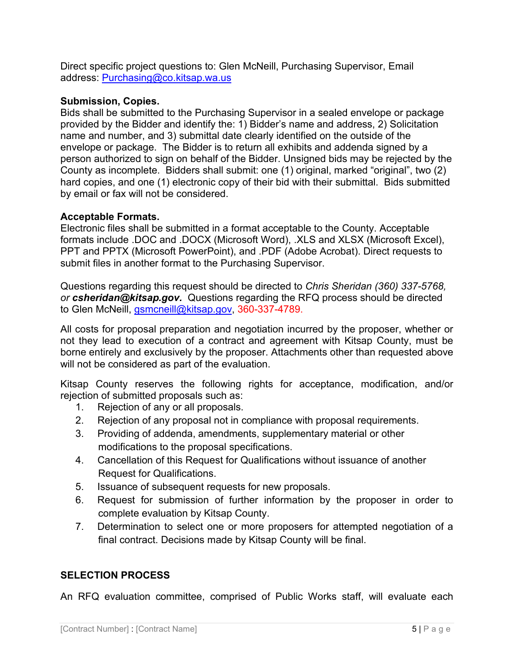Direct specific project questions to: Glen McNeill, Purchasing Supervisor, Email address: [Purchasing@co.kitsap.wa.us](mailto:Purchasing@co.kitsap.wa.us) 

#### **Submission, Copies.**

Bids shall be submitted to the Purchasing Supervisor in a sealed envelope or package provided by the Bidder and identify the: 1) Bidder's name and address, 2) Solicitation name and number, and 3) submittal date clearly identified on the outside of the envelope or package. The Bidder is to return all exhibits and addenda signed by a person authorized to sign on behalf of the Bidder. Unsigned bids may be rejected by the County as incomplete. Bidders shall submit: one (1) original, marked "original", two (2) hard copies, and one (1) electronic copy of their bid with their submittal. Bids submitted by email or fax will not be considered.

#### **Acceptable Formats.**

Electronic files shall be submitted in a format acceptable to the County. Acceptable formats include .DOC and .DOCX (Microsoft Word), .XLS and XLSX (Microsoft Excel), PPT and PPTX (Microsoft PowerPoint), and .PDF (Adobe Acrobat). Direct requests to submit files in another format to the Purchasing Supervisor.

Questions regarding this request should be directed to *Chris Sheridan (360) 337-5768, or csheridan@kitsap.gov.* Questions regarding the RFQ process should be directed to Glen McNeill, *gsmcneill@kitsap.gov, 360-337-4789.* 

All costs for proposal preparation and negotiation incurred by the proposer, whether or not they lead to execution of a contract and agreement with Kitsap County, must be borne entirely and exclusively by the proposer. Attachments other than requested above will not be considered as part of the evaluation.

Kitsap County reserves the following rights for acceptance, modification, and/or rejection of submitted proposals such as:

- 1. Rejection of any or all proposals.
- 2. Rejection of any proposal not in compliance with proposal requirements.
- 3. Providing of addenda, amendments, supplementary material or other modifications to the proposal specifications.
- 4. Cancellation of this Request for Qualifications without issuance of another Request for Qualifications.
- 5. Issuance of subsequent requests for new proposals.
- 6. Request for submission of further information by the proposer in order to complete evaluation by Kitsap County.
- 7. Determination to select one or more proposers for attempted negotiation of a final contract. Decisions made by Kitsap County will be final.

#### **SELECTION PROCESS**

An RFQ evaluation committee, comprised of Public Works staff, will evaluate each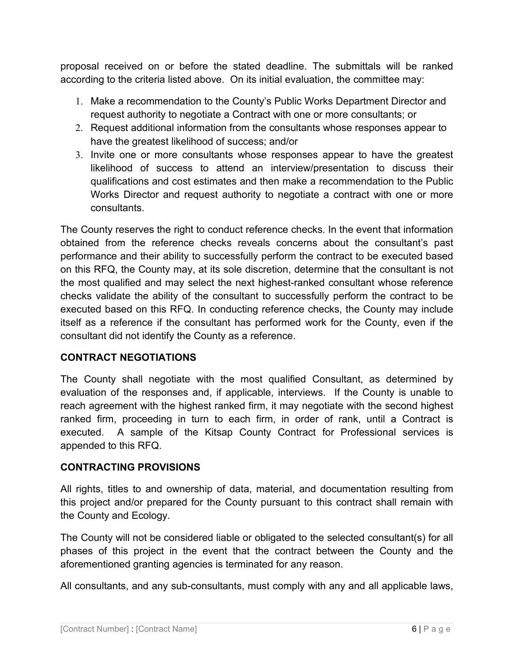proposal received on or before the stated deadline. The submittals will be ranked according to the criteria listed above. On its initial evaluation, the committee may:

- 1. Make a recommendation to the County's Public Works Department Director and request authority to negotiate a Contract with one or more consultants; or
- 2. Request additional information from the consultants whose responses appear to have the greatest likelihood of success; and/or
- 3. Invite one or more consultants whose responses appear to have the greatest likelihood of success to attend an interview/presentation to discuss their qualifications and cost estimates and then make a recommendation to the Public Works Director and request authority to negotiate a contract with one or more consultants.

The County reserves the right to conduct reference checks. In the event that information obtained from the reference checks reveals concerns about the consultant's past performance and their ability to successfully perform the contract to be executed based on this RFQ, the County may, at its sole discretion, determine that the consultant is not the most qualified and may select the next highest-ranked consultant whose reference checks validate the ability of the consultant to successfully perform the contract to be executed based on this RFQ. In conducting reference checks, the County may include itself as a reference if the consultant has performed work for the County, even if the consultant did not identify the County as a reference.

## **CONTRACT NEGOTIATIONS**

The County shall negotiate with the most qualified Consultant, as determined by evaluation of the responses and, if applicable, interviews. If the County is unable to reach agreement with the highest ranked firm, it may negotiate with the second highest ranked firm, proceeding in turn to each firm, in order of rank, until a Contract is executed. A sample of the Kitsap County Contract for Professional services is appended to this RFQ.

## **CONTRACTING PROVISIONS**

All rights, titles to and ownership of data, material, and documentation resulting from this project and/or prepared for the County pursuant to this contract shall remain with the County and Ecology.

The County will not be considered liable or obligated to the selected consultant(s) for all phases of this project in the event that the contract between the County and the aforementioned granting agencies is terminated for any reason.

All consultants, and any sub-consultants, must comply with any and all applicable laws,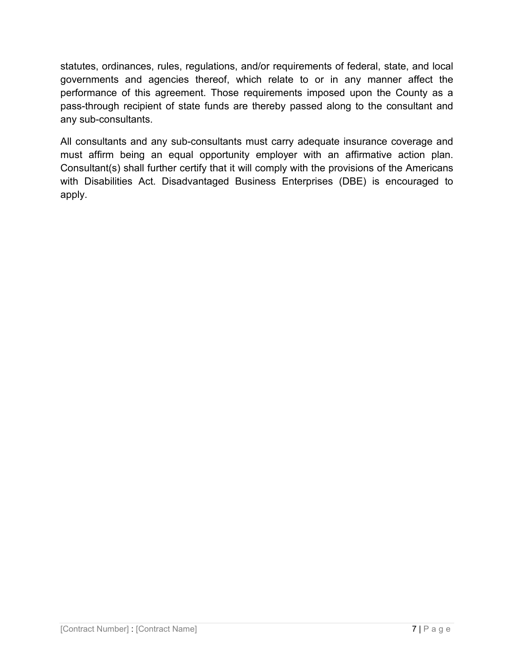statutes, ordinances, rules, regulations, and/or requirements of federal, state, and local governments and agencies thereof, which relate to or in any manner affect the performance of this agreement. Those requirements imposed upon the County as a pass-through recipient of state funds are thereby passed along to the consultant and any sub-consultants.

All consultants and any sub-consultants must carry adequate insurance coverage and must affirm being an equal opportunity employer with an affirmative action plan. Consultant(s) shall further certify that it will comply with the provisions of the Americans with Disabilities Act. Disadvantaged Business Enterprises (DBE) is encouraged to apply.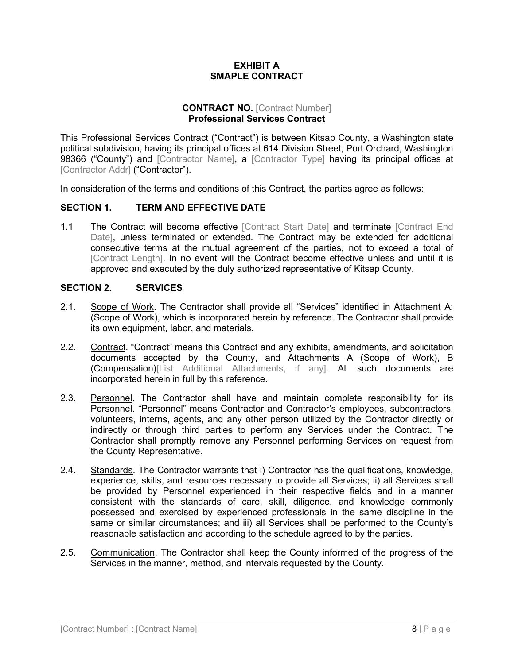#### **EXHIBIT A SMAPLE CONTRACT**

#### **CONTRACT NO. [Contract Number] Professional Services Contract**

This Professional Services Contract ("Contract") is between Kitsap County, a Washington state political subdivision, having its principal offices at 614 Division Street, Port Orchard, Washington 98366 ("County") and [Contractor Name], a [Contractor Type] having its principal offices at [Contractor Addr] ("Contractor").

In consideration of the terms and conditions of this Contract, the parties agree as follows:

#### **SECTION 1. TERM AND EFFECTIVE DATE**

1.1 The Contract will become effective [Contract Start Date] and terminate [Contract End Date], unless terminated or extended. The Contract may be extended for additional consecutive terms at the mutual agreement of the parties, not to exceed a total of [Contract Length]. In no event will the Contract become effective unless and until it is approved and executed by the duly authorized representative of Kitsap County.

#### **SECTION 2. SERVICES**

- 2.1. Scope of Work. The Contractor shall provide all "Services" identified in Attachment A: (Scope of Work), which is incorporated herein by reference. The Contractor shall provide its own equipment, labor, and materials**.**
- 2.2. Contract. "Contract" means this Contract and any exhibits, amendments, and solicitation documents accepted by the County, and Attachments A (Scope of Work), B (Compensation)[List Additional Attachments, if any]. All such documents are incorporated herein in full by this reference.
- 2.3. Personnel. The Contractor shall have and maintain complete responsibility for its Personnel. "Personnel" means Contractor and Contractor's employees, subcontractors, volunteers, interns, agents, and any other person utilized by the Contractor directly or indirectly or through third parties to perform any Services under the Contract. The Contractor shall promptly remove any Personnel performing Services on request from the County Representative.
- 2.4. Standards. The Contractor warrants that i) Contractor has the qualifications, knowledge, experience, skills, and resources necessary to provide all Services; ii) all Services shall be provided by Personnel experienced in their respective fields and in a manner consistent with the standards of care, skill, diligence, and knowledge commonly possessed and exercised by experienced professionals in the same discipline in the same or similar circumstances; and iii) all Services shall be performed to the County's reasonable satisfaction and according to the schedule agreed to by the parties.
- 2.5. Communication. The Contractor shall keep the County informed of the progress of the Services in the manner, method, and intervals requested by the County.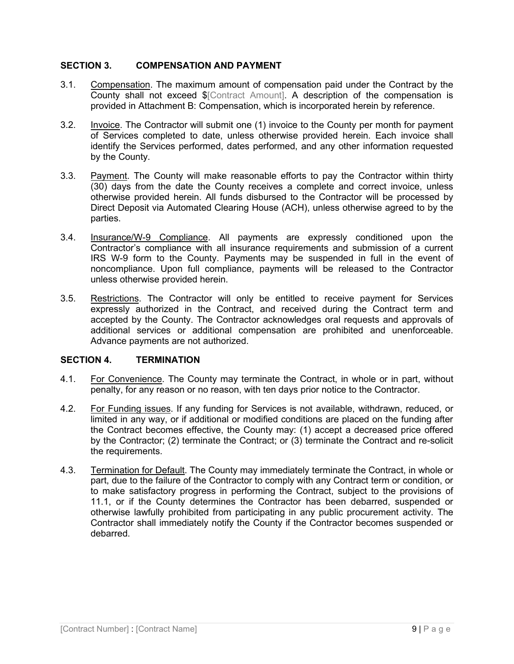#### **SECTION 3. COMPENSATION AND PAYMENT**

- 3.1. Compensation. The maximum amount of compensation paid under the Contract by the County shall not exceed \$[Contract Amount]. A description of the compensation is provided in Attachment B: Compensation, which is incorporated herein by reference.
- 3.2. Invoice. The Contractor will submit one (1) invoice to the County per month for payment of Services completed to date, unless otherwise provided herein. Each invoice shall identify the Services performed, dates performed, and any other information requested by the County.
- 3.3. Payment. The County will make reasonable efforts to pay the Contractor within thirty (30) days from the date the County receives a complete and correct invoice, unless otherwise provided herein. All funds disbursed to the Contractor will be processed by Direct Deposit via Automated Clearing House (ACH), unless otherwise agreed to by the parties.
- 3.4. Insurance/W-9 Compliance. All payments are expressly conditioned upon the Contractor's compliance with all insurance requirements and submission of a current IRS W-9 form to the County. Payments may be suspended in full in the event of noncompliance. Upon full compliance, payments will be released to the Contractor unless otherwise provided herein.
- 3.5. Restrictions. The Contractor will only be entitled to receive payment for Services expressly authorized in the Contract, and received during the Contract term and accepted by the County. The Contractor acknowledges oral requests and approvals of additional services or additional compensation are prohibited and unenforceable. Advance payments are not authorized.

#### **SECTION 4. TERMINATION**

- 4.1. For Convenience. The County may terminate the Contract, in whole or in part, without penalty, for any reason or no reason, with ten days prior notice to the Contractor.
- 4.2. For Funding issues. If any funding for Services is not available, withdrawn, reduced, or limited in any way, or if additional or modified conditions are placed on the funding after the Contract becomes effective, the County may: (1) accept a decreased price offered by the Contractor; (2) terminate the Contract; or (3) terminate the Contract and re-solicit the requirements.
- 4.3. Termination for Default. The County may immediately terminate the Contract, in whole or part, due to the failure of the Contractor to comply with any Contract term or condition, or to make satisfactory progress in performing the Contract, subject to the provisions of 11.1, or if the County determines the Contractor has been debarred, suspended or otherwise lawfully prohibited from participating in any public procurement activity. The Contractor shall immediately notify the County if the Contractor becomes suspended or debarred.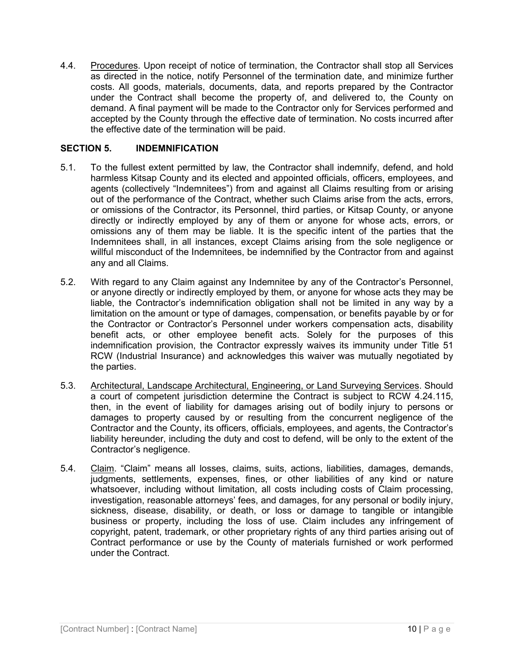4.4. Procedures. Upon receipt of notice of termination, the Contractor shall stop all Services as directed in the notice, notify Personnel of the termination date, and minimize further costs. All goods, materials, documents, data, and reports prepared by the Contractor under the Contract shall become the property of, and delivered to, the County on demand. A final payment will be made to the Contractor only for Services performed and accepted by the County through the effective date of termination. No costs incurred after the effective date of the termination will be paid.

#### **SECTION 5. INDEMNIFICATION**

- 5.1. To the fullest extent permitted by law, the Contractor shall indemnify, defend, and hold harmless Kitsap County and its elected and appointed officials, officers, employees, and agents (collectively "Indemnitees") from and against all Claims resulting from or arising out of the performance of the Contract, whether such Claims arise from the acts, errors, or omissions of the Contractor, its Personnel, third parties, or Kitsap County, or anyone directly or indirectly employed by any of them or anyone for whose acts, errors, or omissions any of them may be liable. It is the specific intent of the parties that the Indemnitees shall, in all instances, except Claims arising from the sole negligence or willful misconduct of the Indemnitees, be indemnified by the Contractor from and against any and all Claims.
- 5.2. With regard to any Claim against any Indemnitee by any of the Contractor's Personnel, or anyone directly or indirectly employed by them, or anyone for whose acts they may be liable, the Contractor's indemnification obligation shall not be limited in any way by a limitation on the amount or type of damages, compensation, or benefits payable by or for the Contractor or Contractor's Personnel under workers compensation acts, disability benefit acts, or other employee benefit acts. Solely for the purposes of this indemnification provision, the Contractor expressly waives its immunity under Title 51 RCW (Industrial Insurance) and acknowledges this waiver was mutually negotiated by the parties.
- 5.3. Architectural, Landscape Architectural, Engineering, or Land Surveying Services. Should a court of competent jurisdiction determine the Contract is subject to RCW 4.24.115, then, in the event of liability for damages arising out of bodily injury to persons or damages to property caused by or resulting from the concurrent negligence of the Contractor and the County, its officers, officials, employees, and agents, the Contractor's liability hereunder, including the duty and cost to defend, will be only to the extent of the Contractor's negligence.
- 5.4. Claim. "Claim" means all losses, claims, suits, actions, liabilities, damages, demands, judgments, settlements, expenses, fines, or other liabilities of any kind or nature whatsoever, including without limitation, all costs including costs of Claim processing, investigation, reasonable attorneys' fees, and damages, for any personal or bodily injury, sickness, disease, disability, or death, or loss or damage to tangible or intangible business or property, including the loss of use. Claim includes any infringement of copyright, patent, trademark, or other proprietary rights of any third parties arising out of Contract performance or use by the County of materials furnished or work performed under the Contract.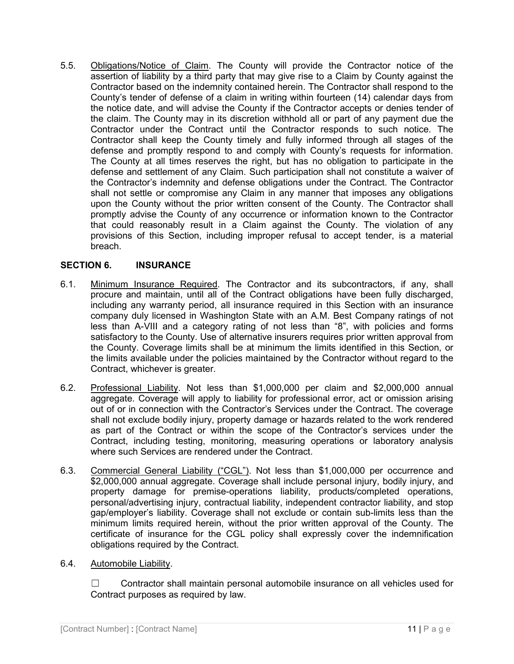5.5. Obligations/Notice of Claim. The County will provide the Contractor notice of the assertion of liability by a third party that may give rise to a Claim by County against the Contractor based on the indemnity contained herein. The Contractor shall respond to the County's tender of defense of a claim in writing within fourteen (14) calendar days from the notice date, and will advise the County if the Contractor accepts or denies tender of the claim. The County may in its discretion withhold all or part of any payment due the Contractor under the Contract until the Contractor responds to such notice. The Contractor shall keep the County timely and fully informed through all stages of the defense and promptly respond to and comply with County's requests for information. The County at all times reserves the right, but has no obligation to participate in the defense and settlement of any Claim. Such participation shall not constitute a waiver of the Contractor's indemnity and defense obligations under the Contract. The Contractor shall not settle or compromise any Claim in any manner that imposes any obligations upon the County without the prior written consent of the County. The Contractor shall promptly advise the County of any occurrence or information known to the Contractor that could reasonably result in a Claim against the County. The violation of any provisions of this Section, including improper refusal to accept tender, is a material breach.

#### **SECTION 6. INSURANCE**

- 6.1. Minimum Insurance Required. The Contractor and its subcontractors, if any, shall procure and maintain, until all of the Contract obligations have been fully discharged, including any warranty period, all insurance required in this Section with an insurance company duly licensed in Washington State with an A.M. Best Company ratings of not less than A-VIII and a category rating of not less than "8", with policies and forms satisfactory to the County. Use of alternative insurers requires prior written approval from the County. Coverage limits shall be at minimum the limits identified in this Section, or the limits available under the policies maintained by the Contractor without regard to the Contract, whichever is greater.
- 6.2. Professional Liability. Not less than \$1,000,000 per claim and \$2,000,000 annual aggregate. Coverage will apply to liability for professional error, act or omission arising out of or in connection with the Contractor's Services under the Contract. The coverage shall not exclude bodily injury, property damage or hazards related to the work rendered as part of the Contract or within the scope of the Contractor's services under the Contract, including testing, monitoring, measuring operations or laboratory analysis where such Services are rendered under the Contract.
- 6.3. Commercial General Liability ("CGL"). Not less than \$1,000,000 per occurrence and \$2,000,000 annual aggregate. Coverage shall include personal injury, bodily injury, and property damage for premise-operations liability, products/completed operations, personal/advertising injury, contractual liability, independent contractor liability, and stop gap/employer's liability. Coverage shall not exclude or contain sub-limits less than the minimum limits required herein, without the prior written approval of the County. The certificate of insurance for the CGL policy shall expressly cover the indemnification obligations required by the Contract.
- 6.4. Automobile Liability.

☐ Contractor shall maintain personal automobile insurance on all vehicles used for Contract purposes as required by law.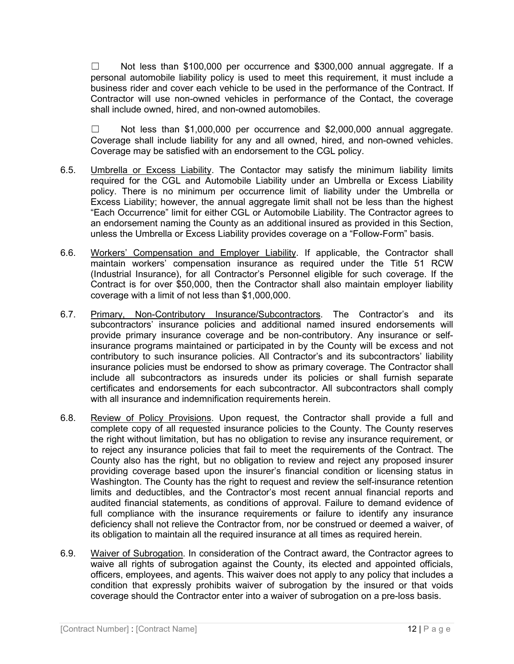$\Box$  Not less than \$100,000 per occurrence and \$300,000 annual aggregate. If a personal automobile liability policy is used to meet this requirement, it must include a business rider and cover each vehicle to be used in the performance of the Contract. If Contractor will use non-owned vehicles in performance of the Contact, the coverage shall include owned, hired, and non-owned automobiles.

☐ Not less than \$1,000,000 per occurrence and \$2,000,000 annual aggregate. Coverage shall include liability for any and all owned, hired, and non-owned vehicles. Coverage may be satisfied with an endorsement to the CGL policy.

- 6.5. Umbrella or Excess Liability. The Contactor may satisfy the minimum liability limits required for the CGL and Automobile Liability under an Umbrella or Excess Liability policy. There is no minimum per occurrence limit of liability under the Umbrella or Excess Liability; however, the annual aggregate limit shall not be less than the highest "Each Occurrence" limit for either CGL or Automobile Liability. The Contractor agrees to an endorsement naming the County as an additional insured as provided in this Section, unless the Umbrella or Excess Liability provides coverage on a "Follow-Form" basis.
- 6.6. Workers' Compensation and Employer Liability. If applicable, the Contractor shall maintain workers' compensation insurance as required under the Title 51 RCW (Industrial Insurance), for all Contractor's Personnel eligible for such coverage. If the Contract is for over \$50,000, then the Contractor shall also maintain employer liability coverage with a limit of not less than \$1,000,000.
- 6.7. Primary, Non-Contributory Insurance/Subcontractors. The Contractor's and its subcontractors' insurance policies and additional named insured endorsements will provide primary insurance coverage and be non-contributory. Any insurance or selfinsurance programs maintained or participated in by the County will be excess and not contributory to such insurance policies. All Contractor's and its subcontractors' liability insurance policies must be endorsed to show as primary coverage. The Contractor shall include all subcontractors as insureds under its policies or shall furnish separate certificates and endorsements for each subcontractor. All subcontractors shall comply with all insurance and indemnification requirements herein.
- 6.8. Review of Policy Provisions. Upon request, the Contractor shall provide a full and complete copy of all requested insurance policies to the County. The County reserves the right without limitation, but has no obligation to revise any insurance requirement, or to reject any insurance policies that fail to meet the requirements of the Contract. The County also has the right, but no obligation to review and reject any proposed insurer providing coverage based upon the insurer's financial condition or licensing status in Washington. The County has the right to request and review the self-insurance retention limits and deductibles, and the Contractor's most recent annual financial reports and audited financial statements, as conditions of approval. Failure to demand evidence of full compliance with the insurance requirements or failure to identify any insurance deficiency shall not relieve the Contractor from, nor be construed or deemed a waiver, of its obligation to maintain all the required insurance at all times as required herein.
- 6.9. Waiver of Subrogation. In consideration of the Contract award, the Contractor agrees to waive all rights of subrogation against the County, its elected and appointed officials, officers, employees, and agents. This waiver does not apply to any policy that includes a condition that expressly prohibits waiver of subrogation by the insured or that voids coverage should the Contractor enter into a waiver of subrogation on a pre-loss basis.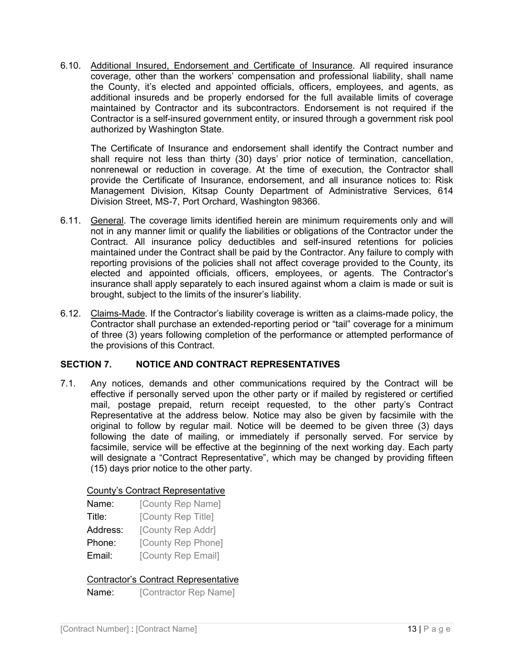6.10. Additional Insured, Endorsement and Certificate of Insurance. All required insurance coverage, other than the workers' compensation and professional liability, shall name the County, it's elected and appointed officials, officers, employees, and agents, as additional insureds and be properly endorsed for the full available limits of coverage maintained by Contractor and its subcontractors. Endorsement is not required if the Contractor is a self-insured government entity, or insured through a government risk pool authorized by Washington State.

The Certificate of Insurance and endorsement shall identify the Contract number and shall require not less than thirty (30) days' prior notice of termination, cancellation, nonrenewal or reduction in coverage. At the time of execution, the Contractor shall provide the Certificate of Insurance, endorsement, and all insurance notices to: Risk Management Division, Kitsap County Department of Administrative Services, 614 Division Street, MS-7, Port Orchard, Washington 98366.

- 6.11. General. The coverage limits identified herein are minimum requirements only and will not in any manner limit or qualify the liabilities or obligations of the Contractor under the Contract. All insurance policy deductibles and self-insured retentions for policies maintained under the Contract shall be paid by the Contractor. Any failure to comply with reporting provisions of the policies shall not affect coverage provided to the County, its elected and appointed officials, officers, employees, or agents. The Contractor's insurance shall apply separately to each insured against whom a claim is made or suit is brought, subject to the limits of the insurer's liability.
- 6.12. Claims-Made. If the Contractor's liability coverage is written as a claims-made policy, the Contractor shall purchase an extended-reporting period or "tail" coverage for a minimum of three (3) years following completion of the performance or attempted performance of the provisions of this Contract.

#### **SECTION 7. NOTICE AND CONTRACT REPRESENTATIVES**

7.1. Any notices, demands and other communications required by the Contract will be effective if personally served upon the other party or if mailed by registered or certified mail, postage prepaid, return receipt requested, to the other party's Contract Representative at the address below. Notice may also be given by facsimile with the original to follow by regular mail. Notice will be deemed to be given three (3) days following the date of mailing, or immediately if personally served. For service by facsimile, service will be effective at the beginning of the next working day. Each party will designate a "Contract Representative", which may be changed by providing fifteen (15) days prior notice to the other party.

#### County's Contract Representative

| Name:    | [County Rep Name]  |
|----------|--------------------|
| Title:   | [County Rep Title] |
| Address: | [County Rep Addr]  |
| Phone:   | [County Rep Phone] |
| Email:   | [County Rep Email] |

#### Contractor's Contract Representative

Name: [Contractor Rep Name]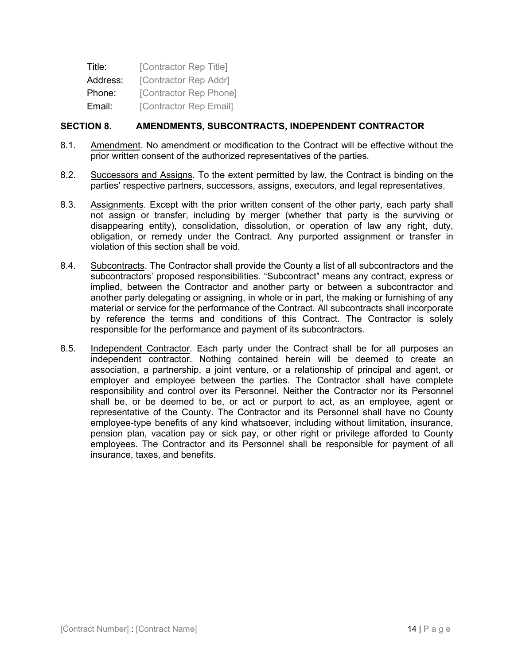| Title:   | [Contractor Rep Title] |
|----------|------------------------|
| Address: | [Contractor Rep Addr]  |
| Phone:   | [Contractor Rep Phone] |
| Email:   | [Contractor Rep Email] |

#### **SECTION 8. AMENDMENTS, SUBCONTRACTS, INDEPENDENT CONTRACTOR**

- 8.1. Amendment. No amendment or modification to the Contract will be effective without the prior written consent of the authorized representatives of the parties.
- 8.2. Successors and Assigns. To the extent permitted by law, the Contract is binding on the parties' respective partners, successors, assigns, executors, and legal representatives.
- 8.3. Assignments. Except with the prior written consent of the other party, each party shall not assign or transfer, including by merger (whether that party is the surviving or disappearing entity), consolidation, dissolution, or operation of law any right, duty, obligation, or remedy under the Contract. Any purported assignment or transfer in violation of this section shall be void.
- 8.4. Subcontracts. The Contractor shall provide the County a list of all subcontractors and the subcontractors' proposed responsibilities. "Subcontract" means any contract, express or implied, between the Contractor and another party or between a subcontractor and another party delegating or assigning, in whole or in part, the making or furnishing of any material or service for the performance of the Contract. All subcontracts shall incorporate by reference the terms and conditions of this Contract. The Contractor is solely responsible for the performance and payment of its subcontractors.
- 8.5. Independent Contractor. Each party under the Contract shall be for all purposes an independent contractor. Nothing contained herein will be deemed to create an association, a partnership, a joint venture, or a relationship of principal and agent, or employer and employee between the parties. The Contractor shall have complete responsibility and control over its Personnel. Neither the Contractor nor its Personnel shall be, or be deemed to be, or act or purport to act, as an employee, agent or representative of the County. The Contractor and its Personnel shall have no County employee-type benefits of any kind whatsoever, including without limitation, insurance, pension plan, vacation pay or sick pay, or other right or privilege afforded to County employees. The Contractor and its Personnel shall be responsible for payment of all insurance, taxes, and benefits.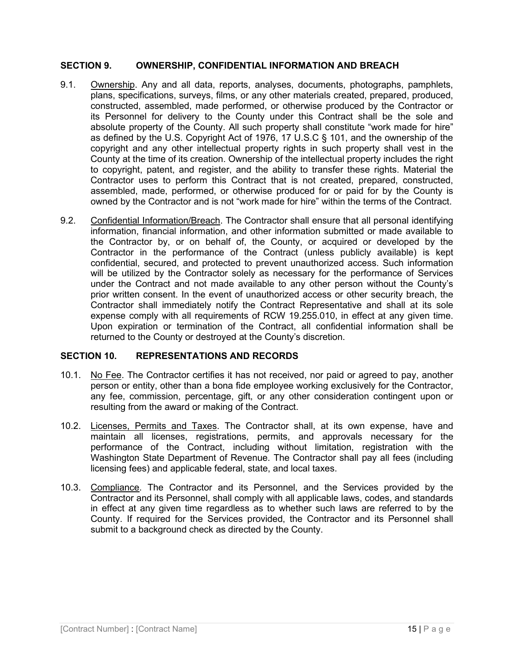#### **SECTION 9. OWNERSHIP, CONFIDENTIAL INFORMATION AND BREACH**

- 9.1. Ownership. Any and all data, reports, analyses, documents, photographs, pamphlets, plans, specifications, surveys, films, or any other materials created, prepared, produced, constructed, assembled, made performed, or otherwise produced by the Contractor or its Personnel for delivery to the County under this Contract shall be the sole and absolute property of the County. All such property shall constitute "work made for hire" as defined by the U.S. Copyright Act of 1976, 17 U.S.C § 101, and the ownership of the copyright and any other intellectual property rights in such property shall vest in the County at the time of its creation. Ownership of the intellectual property includes the right to copyright, patent, and register, and the ability to transfer these rights. Material the Contractor uses to perform this Contract that is not created, prepared, constructed, assembled, made, performed, or otherwise produced for or paid for by the County is owned by the Contractor and is not "work made for hire" within the terms of the Contract.
- 9.2. Confidential Information/Breach. The Contractor shall ensure that all personal identifying information, financial information, and other information submitted or made available to the Contractor by, or on behalf of, the County, or acquired or developed by the Contractor in the performance of the Contract (unless publicly available) is kept confidential, secured, and protected to prevent unauthorized access. Such information will be utilized by the Contractor solely as necessary for the performance of Services under the Contract and not made available to any other person without the County's prior written consent. In the event of unauthorized access or other security breach, the Contractor shall immediately notify the Contract Representative and shall at its sole expense comply with all requirements of RCW 19.255.010, in effect at any given time. Upon expiration or termination of the Contract, all confidential information shall be returned to the County or destroyed at the County's discretion.

#### **SECTION 10. REPRESENTATIONS AND RECORDS**

- 10.1. No Fee. The Contractor certifies it has not received, nor paid or agreed to pay, another person or entity, other than a bona fide employee working exclusively for the Contractor, any fee, commission, percentage, gift, or any other consideration contingent upon or resulting from the award or making of the Contract.
- 10.2. Licenses, Permits and Taxes. The Contractor shall, at its own expense, have and maintain all licenses, registrations, permits, and approvals necessary for the performance of the Contract, including without limitation, registration with the Washington State Department of Revenue. The Contractor shall pay all fees (including licensing fees) and applicable federal, state, and local taxes.
- 10.3. Compliance. The Contractor and its Personnel, and the Services provided by the Contractor and its Personnel, shall comply with all applicable laws, codes, and standards in effect at any given time regardless as to whether such laws are referred to by the County. If required for the Services provided, the Contractor and its Personnel shall submit to a background check as directed by the County.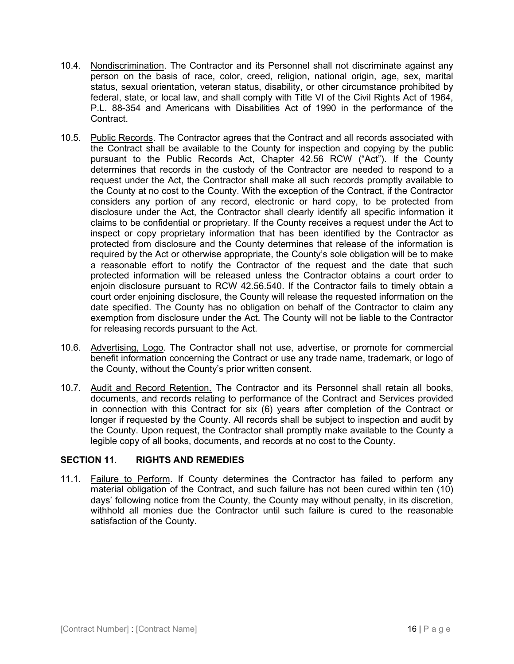- 10.4. Nondiscrimination. The Contractor and its Personnel shall not discriminate against any person on the basis of race, color, creed, religion, national origin, age, sex, marital status, sexual orientation, veteran status, disability, or other circumstance prohibited by federal, state, or local law, and shall comply with Title VI of the Civil Rights Act of 1964, P.L. 88-354 and Americans with Disabilities Act of 1990 in the performance of the Contract.
- 10.5. Public Records. The Contractor agrees that the Contract and all records associated with the Contract shall be available to the County for inspection and copying by the public pursuant to the Public Records Act, Chapter 42.56 RCW ("Act"). If the County determines that records in the custody of the Contractor are needed to respond to a request under the Act, the Contractor shall make all such records promptly available to the County at no cost to the County. With the exception of the Contract, if the Contractor considers any portion of any record, electronic or hard copy, to be protected from disclosure under the Act, the Contractor shall clearly identify all specific information it claims to be confidential or proprietary. If the County receives a request under the Act to inspect or copy proprietary information that has been identified by the Contractor as protected from disclosure and the County determines that release of the information is required by the Act or otherwise appropriate, the County's sole obligation will be to make a reasonable effort to notify the Contractor of the request and the date that such protected information will be released unless the Contractor obtains a court order to enjoin disclosure pursuant to RCW 42.56.540. If the Contractor fails to timely obtain a court order enjoining disclosure, the County will release the requested information on the date specified. The County has no obligation on behalf of the Contractor to claim any exemption from disclosure under the Act. The County will not be liable to the Contractor for releasing records pursuant to the Act.
- 10.6. Advertising, Logo. The Contractor shall not use, advertise, or promote for commercial benefit information concerning the Contract or use any trade name, trademark, or logo of the County, without the County's prior written consent.
- 10.7. Audit and Record Retention. The Contractor and its Personnel shall retain all books, documents, and records relating to performance of the Contract and Services provided in connection with this Contract for six (6) years after completion of the Contract or longer if requested by the County. All records shall be subject to inspection and audit by the County. Upon request, the Contractor shall promptly make available to the County a legible copy of all books, documents, and records at no cost to the County.

#### **SECTION 11. RIGHTS AND REMEDIES**

11.1. Failure to Perform. If County determines the Contractor has failed to perform any material obligation of the Contract, and such failure has not been cured within ten (10) days' following notice from the County, the County may without penalty, in its discretion, withhold all monies due the Contractor until such failure is cured to the reasonable satisfaction of the County.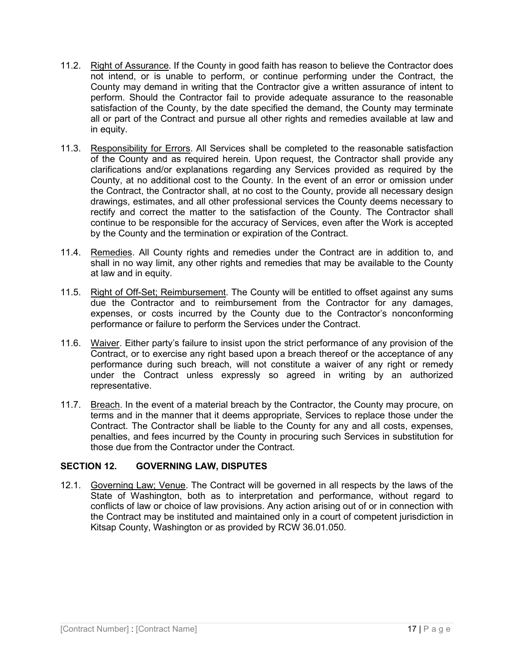- 11.2. Right of Assurance. If the County in good faith has reason to believe the Contractor does not intend, or is unable to perform, or continue performing under the Contract, the County may demand in writing that the Contractor give a written assurance of intent to perform. Should the Contractor fail to provide adequate assurance to the reasonable satisfaction of the County, by the date specified the demand, the County may terminate all or part of the Contract and pursue all other rights and remedies available at law and in equity.
- 11.3. Responsibility for Errors. All Services shall be completed to the reasonable satisfaction of the County and as required herein. Upon request, the Contractor shall provide any clarifications and/or explanations regarding any Services provided as required by the County, at no additional cost to the County. In the event of an error or omission under the Contract, the Contractor shall, at no cost to the County, provide all necessary design drawings, estimates, and all other professional services the County deems necessary to rectify and correct the matter to the satisfaction of the County. The Contractor shall continue to be responsible for the accuracy of Services, even after the Work is accepted by the County and the termination or expiration of the Contract.
- 11.4. Remedies. All County rights and remedies under the Contract are in addition to, and shall in no way limit, any other rights and remedies that may be available to the County at law and in equity.
- 11.5. Right of Off-Set; Reimbursement. The County will be entitled to offset against any sums due the Contractor and to reimbursement from the Contractor for any damages, expenses, or costs incurred by the County due to the Contractor's nonconforming performance or failure to perform the Services under the Contract.
- 11.6. Waiver. Either party's failure to insist upon the strict performance of any provision of the Contract, or to exercise any right based upon a breach thereof or the acceptance of any performance during such breach, will not constitute a waiver of any right or remedy under the Contract unless expressly so agreed in writing by an authorized representative.
- 11.7. Breach. In the event of a material breach by the Contractor, the County may procure, on terms and in the manner that it deems appropriate, Services to replace those under the Contract. The Contractor shall be liable to the County for any and all costs, expenses, penalties, and fees incurred by the County in procuring such Services in substitution for those due from the Contractor under the Contract.

#### **SECTION 12. GOVERNING LAW, DISPUTES**

12.1. Governing Law; Venue. The Contract will be governed in all respects by the laws of the State of Washington, both as to interpretation and performance, without regard to conflicts of law or choice of law provisions. Any action arising out of or in connection with the Contract may be instituted and maintained only in a court of competent jurisdiction in Kitsap County, Washington or as provided by RCW 36.01.050.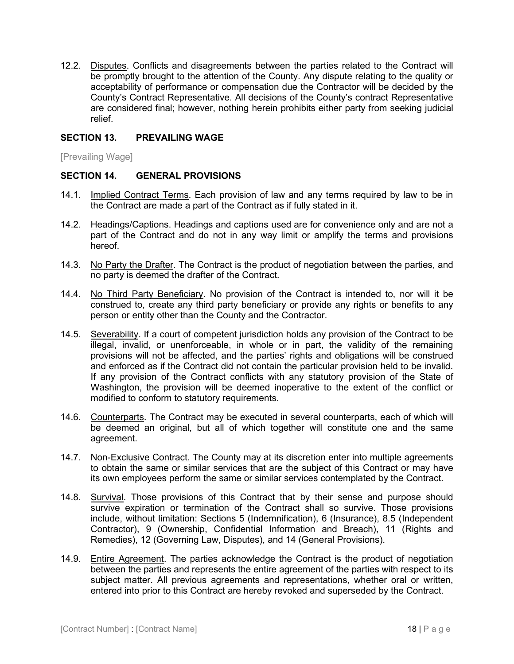12.2. Disputes. Conflicts and disagreements between the parties related to the Contract will be promptly brought to the attention of the County. Any dispute relating to the quality or acceptability of performance or compensation due the Contractor will be decided by the County's Contract Representative. All decisions of the County's contract Representative are considered final; however, nothing herein prohibits either party from seeking judicial relief.

#### **SECTION 13. PREVAILING WAGE**

[Prevailing Wage]

#### **SECTION 14. GENERAL PROVISIONS**

- 14.1. Implied Contract Terms. Each provision of law and any terms required by law to be in the Contract are made a part of the Contract as if fully stated in it.
- 14.2. Headings/Captions. Headings and captions used are for convenience only and are not a part of the Contract and do not in any way limit or amplify the terms and provisions hereof.
- 14.3. No Party the Drafter. The Contract is the product of negotiation between the parties, and no party is deemed the drafter of the Contract.
- 14.4. No Third Party Beneficiary. No provision of the Contract is intended to, nor will it be construed to, create any third party beneficiary or provide any rights or benefits to any person or entity other than the County and the Contractor.
- 14.5. Severability. If a court of competent jurisdiction holds any provision of the Contract to be illegal, invalid, or unenforceable, in whole or in part, the validity of the remaining provisions will not be affected, and the parties' rights and obligations will be construed and enforced as if the Contract did not contain the particular provision held to be invalid. If any provision of the Contract conflicts with any statutory provision of the State of Washington, the provision will be deemed inoperative to the extent of the conflict or modified to conform to statutory requirements.
- 14.6. Counterparts. The Contract may be executed in several counterparts, each of which will be deemed an original, but all of which together will constitute one and the same agreement.
- 14.7. Non-Exclusive Contract. The County may at its discretion enter into multiple agreements to obtain the same or similar services that are the subject of this Contract or may have its own employees perform the same or similar services contemplated by the Contract.
- 14.8. Survival. Those provisions of this Contract that by their sense and purpose should survive expiration or termination of the Contract shall so survive. Those provisions include, without limitation: Sections 5 (Indemnification), 6 (Insurance), 8.5 (Independent Contractor), 9 (Ownership, Confidential Information and Breach), 11 (Rights and Remedies), 12 (Governing Law, Disputes), and 14 (General Provisions).
- 14.9. Entire Agreement. The parties acknowledge the Contract is the product of negotiation between the parties and represents the entire agreement of the parties with respect to its subject matter. All previous agreements and representations, whether oral or written, entered into prior to this Contract are hereby revoked and superseded by the Contract.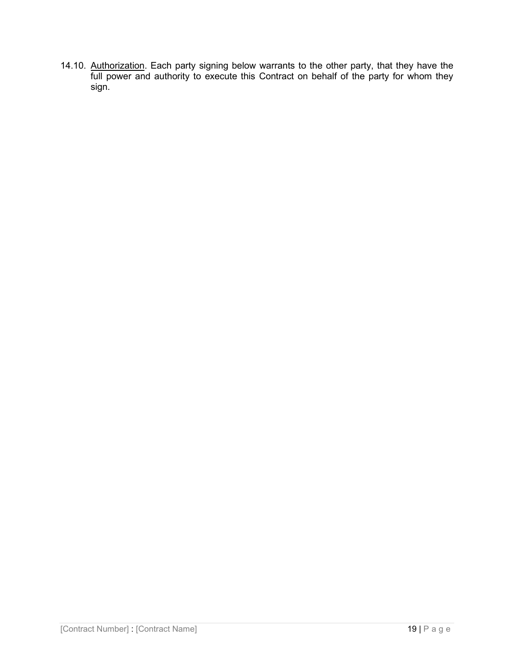14.10. Authorization. Each party signing below warrants to the other party, that they have the full power and authority to execute this Contract on behalf of the party for whom they sign.